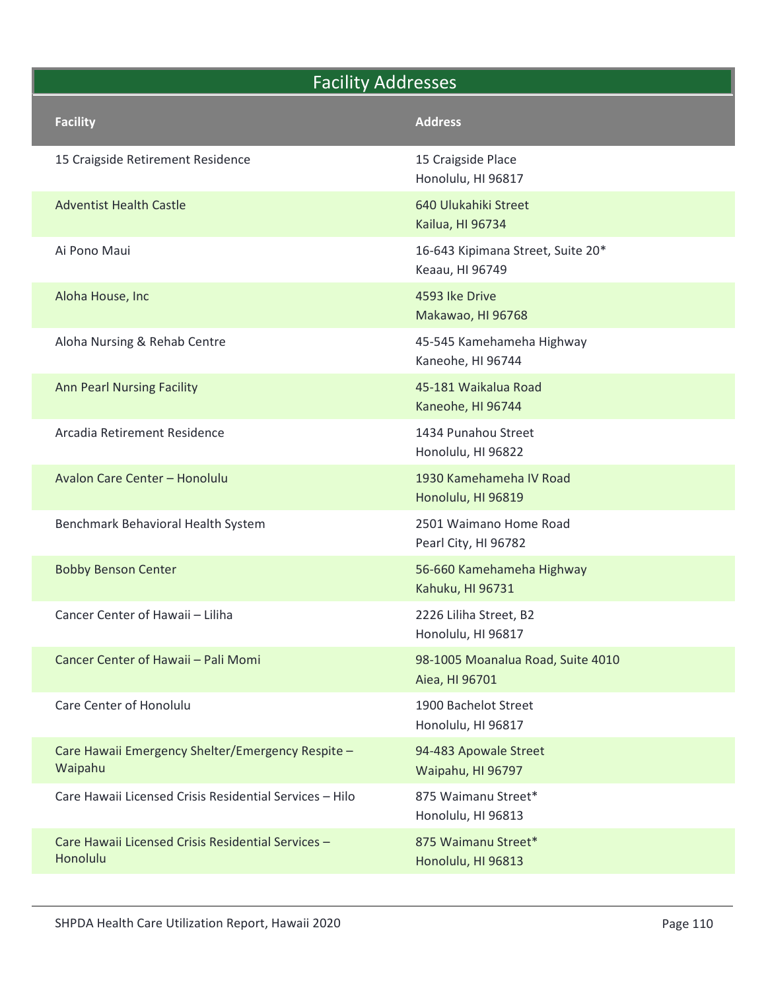|  | <b>Facility Addresses</b>                                      |                                                      |  |
|--|----------------------------------------------------------------|------------------------------------------------------|--|
|  | <b>Facility</b>                                                | <b>Address</b>                                       |  |
|  | 15 Craigside Retirement Residence                              | 15 Craigside Place<br>Honolulu, HI 96817             |  |
|  | <b>Adventist Health Castle</b>                                 | 640 Ulukahiki Street<br>Kailua, HI 96734             |  |
|  | Ai Pono Maui                                                   | 16-643 Kipimana Street, Suite 20*<br>Keaau, HI 96749 |  |
|  | Aloha House, Inc                                               | 4593 Ike Drive<br>Makawao, HI 96768                  |  |
|  | Aloha Nursing & Rehab Centre                                   | 45-545 Kamehameha Highway<br>Kaneohe, HI 96744       |  |
|  | <b>Ann Pearl Nursing Facility</b>                              | 45-181 Waikalua Road<br>Kaneohe, HI 96744            |  |
|  | Arcadia Retirement Residence                                   | 1434 Punahou Street<br>Honolulu, HI 96822            |  |
|  | Avalon Care Center - Honolulu                                  | 1930 Kamehameha IV Road<br>Honolulu, HI 96819        |  |
|  | Benchmark Behavioral Health System                             | 2501 Waimano Home Road<br>Pearl City, HI 96782       |  |
|  | <b>Bobby Benson Center</b>                                     | 56-660 Kamehameha Highway<br>Kahuku, HI 96731        |  |
|  | Cancer Center of Hawaii - Liliha                               | 2226 Liliha Street, B2<br>Honolulu, HI 96817         |  |
|  | Cancer Center of Hawaii - Pali Momi                            | 98-1005 Moanalua Road, Suite 4010<br>Aiea, HI 96701  |  |
|  | Care Center of Honolulu                                        | 1900 Bachelot Street<br>Honolulu, HI 96817           |  |
|  | Care Hawaii Emergency Shelter/Emergency Respite -<br>Waipahu   | 94-483 Apowale Street<br>Waipahu, HI 96797           |  |
|  | Care Hawaii Licensed Crisis Residential Services - Hilo        | 875 Waimanu Street*<br>Honolulu, HI 96813            |  |
|  | Care Hawaii Licensed Crisis Residential Services -<br>Honolulu | 875 Waimanu Street*<br>Honolulu, HI 96813            |  |
|  |                                                                |                                                      |  |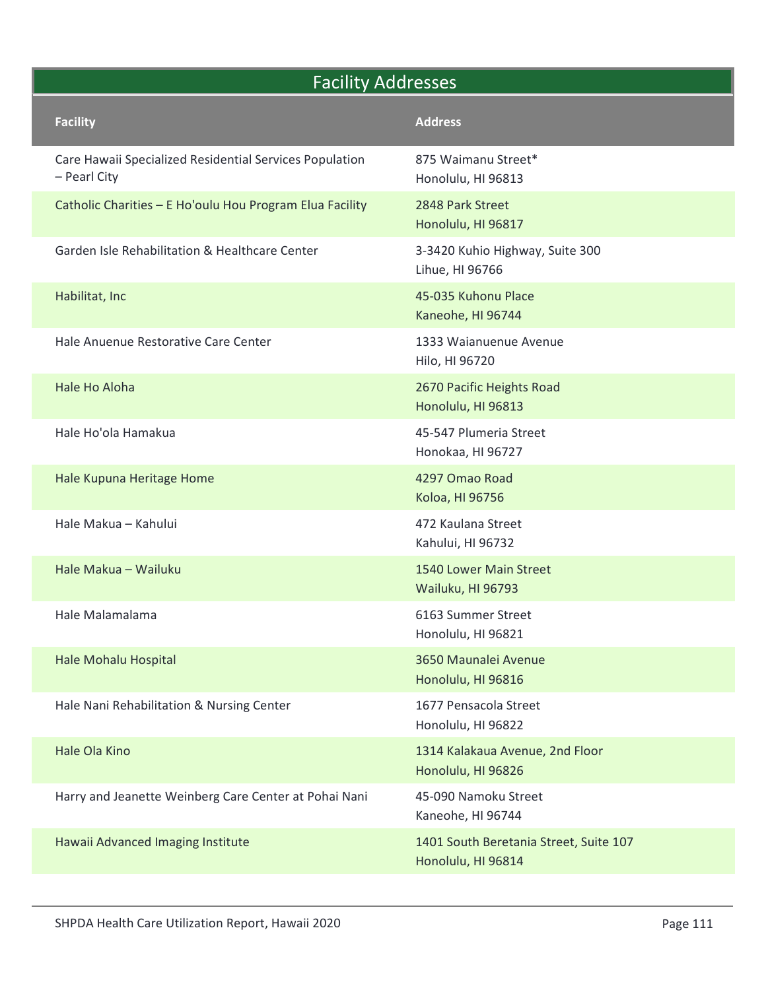| <b>Facility Addresses</b>                                               |                                                              |  |
|-------------------------------------------------------------------------|--------------------------------------------------------------|--|
| <b>Facility</b>                                                         | <b>Address</b>                                               |  |
| Care Hawaii Specialized Residential Services Population<br>- Pearl City | 875 Waimanu Street*<br>Honolulu, HI 96813                    |  |
| Catholic Charities - E Ho'oulu Hou Program Elua Facility                | 2848 Park Street<br>Honolulu, HI 96817                       |  |
| Garden Isle Rehabilitation & Healthcare Center                          | 3-3420 Kuhio Highway, Suite 300<br>Lihue, HI 96766           |  |
| Habilitat, Inc                                                          | 45-035 Kuhonu Place<br>Kaneohe, HI 96744                     |  |
| Hale Anuenue Restorative Care Center                                    | 1333 Waianuenue Avenue<br>Hilo, HI 96720                     |  |
| Hale Ho Aloha                                                           | 2670 Pacific Heights Road<br>Honolulu, HI 96813              |  |
| Hale Ho'ola Hamakua                                                     | 45-547 Plumeria Street<br>Honokaa, HI 96727                  |  |
| Hale Kupuna Heritage Home                                               | 4297 Omao Road<br>Koloa, HI 96756                            |  |
| Hale Makua - Kahului                                                    | 472 Kaulana Street<br>Kahului, HI 96732                      |  |
| Hale Makua - Wailuku                                                    | 1540 Lower Main Street<br>Wailuku, HI 96793                  |  |
| Hale Malamalama                                                         | 6163 Summer Street<br>Honolulu, HI 96821                     |  |
| Hale Mohalu Hospital                                                    | 3650 Maunalei Avenue<br>Honolulu, HI 96816                   |  |
| Hale Nani Rehabilitation & Nursing Center                               | 1677 Pensacola Street<br>Honolulu, HI 96822                  |  |
| Hale Ola Kino                                                           | 1314 Kalakaua Avenue, 2nd Floor<br>Honolulu, HI 96826        |  |
| Harry and Jeanette Weinberg Care Center at Pohai Nani                   | 45-090 Namoku Street<br>Kaneohe, HI 96744                    |  |
| Hawaii Advanced Imaging Institute                                       | 1401 South Beretania Street, Suite 107<br>Honolulu, HI 96814 |  |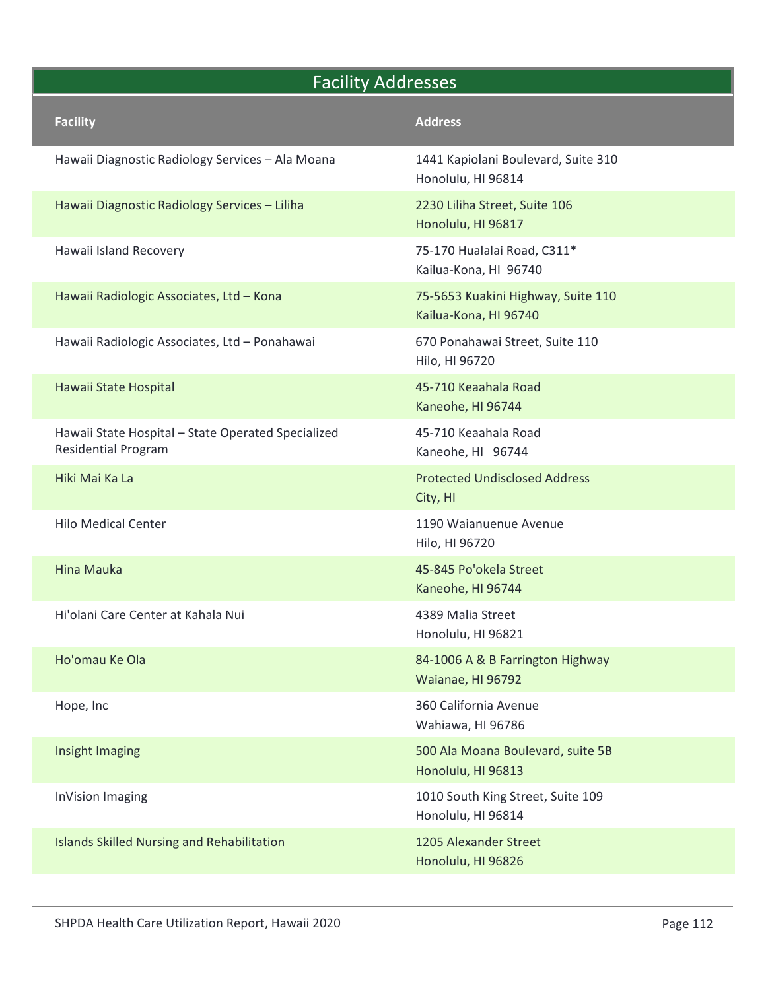|                                                                                  | <b>Facility Addresses</b>                                   |  |
|----------------------------------------------------------------------------------|-------------------------------------------------------------|--|
| <b>Facility</b>                                                                  | <b>Address</b>                                              |  |
| Hawaii Diagnostic Radiology Services - Ala Moana                                 | 1441 Kapiolani Boulevard, Suite 310<br>Honolulu, HI 96814   |  |
| Hawaii Diagnostic Radiology Services - Liliha                                    | 2230 Liliha Street, Suite 106<br>Honolulu, HI 96817         |  |
| Hawaii Island Recovery                                                           | 75-170 Hualalai Road, C311*<br>Kailua-Kona, HI 96740        |  |
| Hawaii Radiologic Associates, Ltd - Kona                                         | 75-5653 Kuakini Highway, Suite 110<br>Kailua-Kona, HI 96740 |  |
| Hawaii Radiologic Associates, Ltd - Ponahawai                                    | 670 Ponahawai Street, Suite 110<br>Hilo, HI 96720           |  |
| Hawaii State Hospital                                                            | 45-710 Keaahala Road<br>Kaneohe, HI 96744                   |  |
| Hawaii State Hospital - State Operated Specialized<br><b>Residential Program</b> | 45-710 Keaahala Road<br>Kaneohe, HI 96744                   |  |
| Hiki Mai Ka La                                                                   | <b>Protected Undisclosed Address</b><br>City, HI            |  |
| <b>Hilo Medical Center</b>                                                       | 1190 Waianuenue Avenue<br>Hilo, HI 96720                    |  |
| <b>Hina Mauka</b>                                                                | 45-845 Po'okela Street<br>Kaneohe, HI 96744                 |  |
| Hi'olani Care Center at Kahala Nui                                               | 4389 Malia Street<br>Honolulu, HI 96821                     |  |
| Ho'omau Ke Ola                                                                   | 84-1006 A & B Farrington Highway<br>Waianae, HI 96792       |  |
| Hope, Inc                                                                        | 360 California Avenue<br>Wahiawa, HI 96786                  |  |
| Insight Imaging                                                                  | 500 Ala Moana Boulevard, suite 5B<br>Honolulu, HI 96813     |  |
| <b>InVision Imaging</b>                                                          | 1010 South King Street, Suite 109<br>Honolulu, HI 96814     |  |
| <b>Islands Skilled Nursing and Rehabilitation</b>                                | 1205 Alexander Street<br>Honolulu, HI 96826                 |  |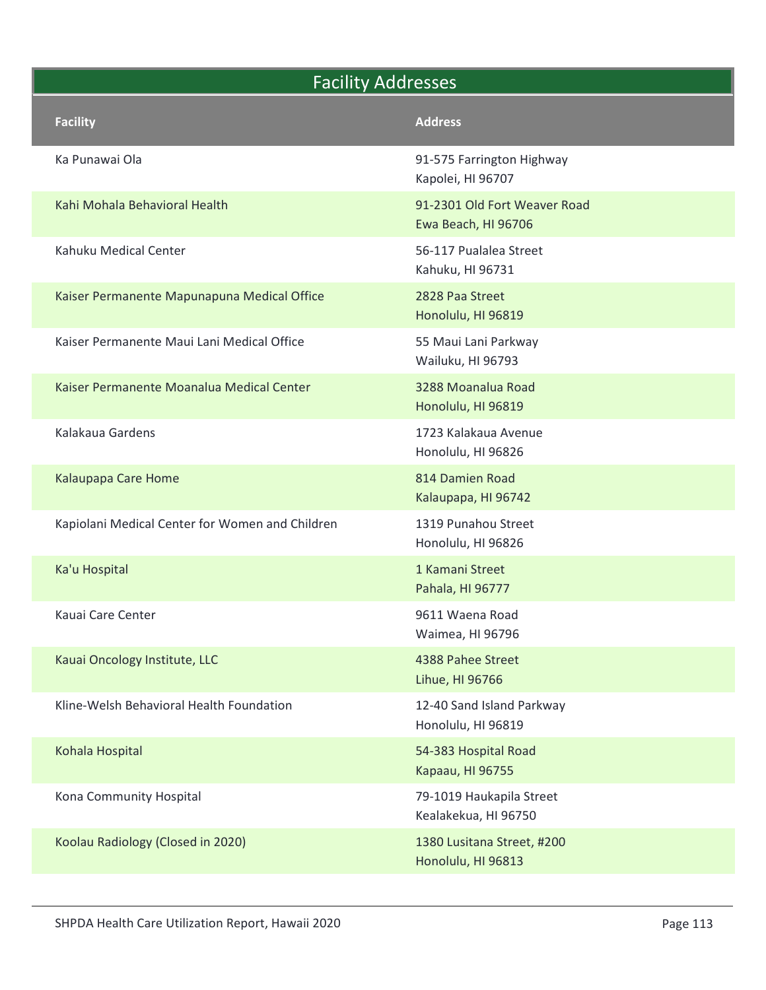|                                                 | <b>Facility Addresses</b>                           |  |
|-------------------------------------------------|-----------------------------------------------------|--|
| <b>Facility</b>                                 | <b>Address</b>                                      |  |
| Ka Punawai Ola                                  | 91-575 Farrington Highway<br>Kapolei, HI 96707      |  |
| Kahi Mohala Behavioral Health                   | 91-2301 Old Fort Weaver Road<br>Ewa Beach, HI 96706 |  |
| Kahuku Medical Center                           | 56-117 Pualalea Street<br>Kahuku, HI 96731          |  |
| Kaiser Permanente Mapunapuna Medical Office     | 2828 Paa Street<br>Honolulu, HI 96819               |  |
| Kaiser Permanente Maui Lani Medical Office      | 55 Maui Lani Parkway<br>Wailuku, HI 96793           |  |
| Kaiser Permanente Moanalua Medical Center       | 3288 Moanalua Road<br>Honolulu, HI 96819            |  |
| Kalakaua Gardens                                | 1723 Kalakaua Avenue<br>Honolulu, HI 96826          |  |
| Kalaupapa Care Home                             | 814 Damien Road<br>Kalaupapa, HI 96742              |  |
| Kapiolani Medical Center for Women and Children | 1319 Punahou Street<br>Honolulu, HI 96826           |  |
| Ka'u Hospital                                   | 1 Kamani Street<br>Pahala, HI 96777                 |  |
| Kauai Care Center                               | 9611 Waena Road<br>Waimea, HI 96796                 |  |
| Kauai Oncology Institute, LLC                   | 4388 Pahee Street<br>Lihue, HI 96766                |  |
| Kline-Welsh Behavioral Health Foundation        | 12-40 Sand Island Parkway<br>Honolulu, HI 96819     |  |
| Kohala Hospital                                 | 54-383 Hospital Road<br>Kapaau, HI 96755            |  |
| Kona Community Hospital                         | 79-1019 Haukapila Street<br>Kealakekua, HI 96750    |  |
| Koolau Radiology (Closed in 2020)               | 1380 Lusitana Street, #200<br>Honolulu, HI 96813    |  |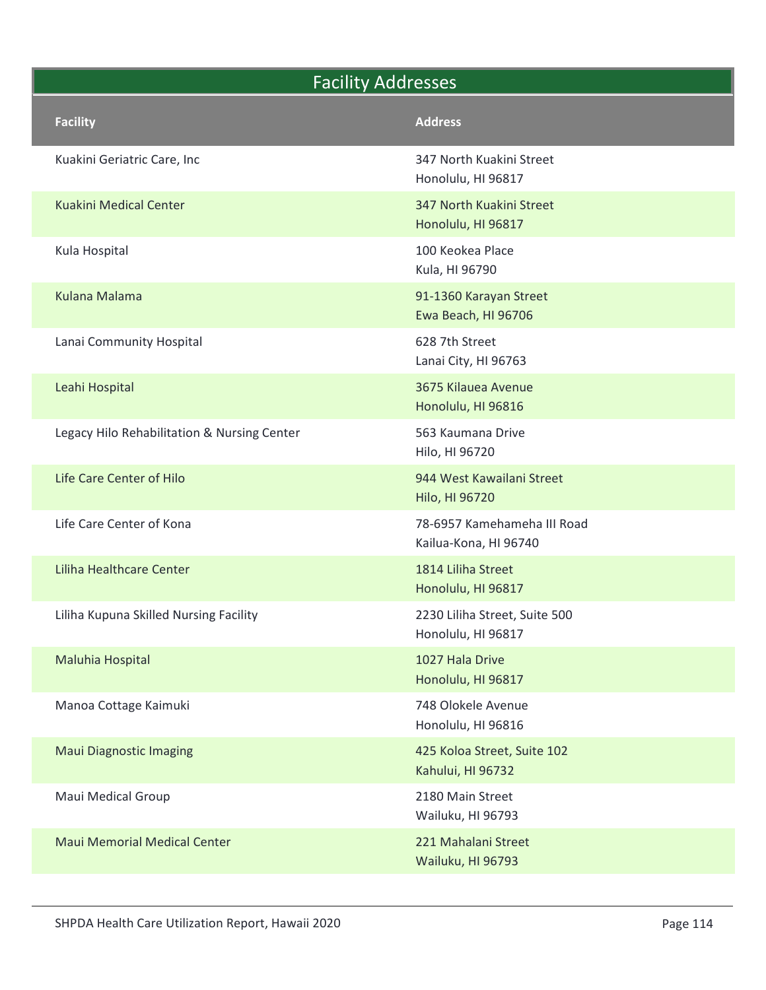|                                             | <b>Facility Addresses</b>                            |  |
|---------------------------------------------|------------------------------------------------------|--|
| <b>Facility</b>                             | <b>Address</b>                                       |  |
| Kuakini Geriatric Care, Inc                 | 347 North Kuakini Street<br>Honolulu, HI 96817       |  |
| Kuakini Medical Center                      | 347 North Kuakini Street<br>Honolulu, HI 96817       |  |
| Kula Hospital                               | 100 Keokea Place<br>Kula, HI 96790                   |  |
| <b>Kulana Malama</b>                        | 91-1360 Karayan Street<br>Ewa Beach, HI 96706        |  |
| Lanai Community Hospital                    | 628 7th Street<br>Lanai City, HI 96763               |  |
| Leahi Hospital                              | 3675 Kilauea Avenue<br>Honolulu, HI 96816            |  |
| Legacy Hilo Rehabilitation & Nursing Center | 563 Kaumana Drive<br>Hilo, HI 96720                  |  |
| Life Care Center of Hilo                    | 944 West Kawailani Street<br>Hilo, HI 96720          |  |
| Life Care Center of Kona                    | 78-6957 Kamehameha III Road<br>Kailua-Kona, HI 96740 |  |
| Liliha Healthcare Center                    | 1814 Liliha Street<br>Honolulu, HI 96817             |  |
| Liliha Kupuna Skilled Nursing Facility      | 2230 Liliha Street, Suite 500<br>Honolulu, HI 96817  |  |
| Maluhia Hospital                            | 1027 Hala Drive<br>Honolulu, HI 96817                |  |
| Manoa Cottage Kaimuki                       | 748 Olokele Avenue<br>Honolulu, HI 96816             |  |
| <b>Maui Diagnostic Imaging</b>              | 425 Koloa Street, Suite 102<br>Kahului, HI 96732     |  |
| Maui Medical Group                          | 2180 Main Street<br>Wailuku, HI 96793                |  |
| <b>Maui Memorial Medical Center</b>         | 221 Mahalani Street<br>Wailuku, HI 96793             |  |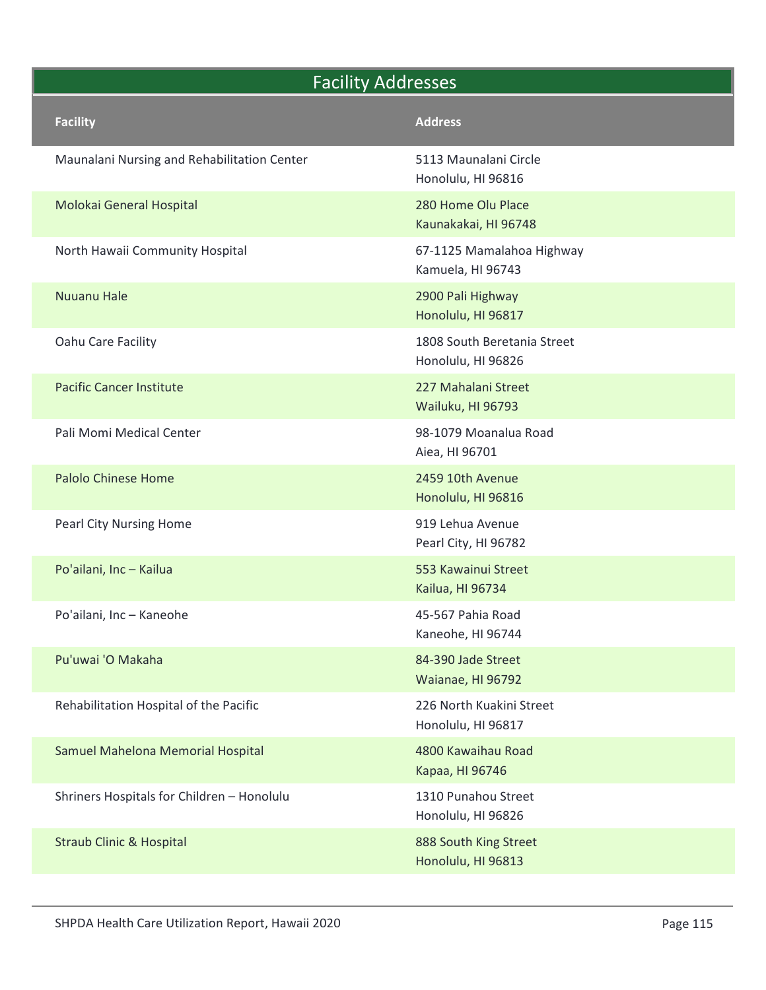# Facility Addresses<br>
Facility Address<br>
Maunalani Nursing and Rehabilitation Center Facility<br>
Molokai General Hospital Rehabilitation Center Facility<br>
Molokai General Hospital Reported Rehabilitation Center Facility<br>
280 Hom Facility Addresses Facility<br>
Facility<br>
Maunalani Nursing and Rehabilitation Center<br>
Molokai General Hospital<br>
Molokai General Hospital<br>
Molokai General Hospital<br>
Morth Hawaii Community Hospital<br>
Morth Hawaii Community Hospital<br>
67-1125 Mamal Honolulu, HI 96816 Facility<br>
Facility<br>
Maunalani Nursing and Rehabilitation Center<br>
Molokai General Hospital<br>
Molokai General Hospital<br>
Morth Hawaii Community Hospital<br>
Morth Hawaii Community Hospital<br>
Morth Hawaii Community Hospital<br>
Muuanu Kaunakakai, HI 96748 Facility<br>
Addresses<br>
Maunalani Nursing and Rehabilitation Center<br>
S113 Maunalani Circle<br>
Honolulu, HI 96816<br>
Molokai General Hospital<br>
North Hawaii Community Hospital<br>
North Hawaii Community Hospital<br>
Nursing Mamalahoa Hig Kamuela, HI 96743 Facility Addresses<br>
Maunalani Nursing and Rehabilitation Center<br>
Maunalani Circle<br>
Molokai General Hospital<br>
Molokai General Hospital<br>
Morth Hawaii Community Hospital<br>
Molokai General Hospital<br>
Muuanu Hale<br>
2900 Pali Highw Honolulu, HI 96817 Facility Addresses<br>
Maunalani Nursing and Rehabilitation Center<br>
Molokai General Hospital<br>
Molokai General Hospital<br>
Morth Hawaii Community Hospital<br>
North Hawaii Community Hospital<br>
North Hawaii Community Hospital<br>
North Honolulu, HI 96826 Facility Addresses<br>
Maunalani Nursing and Rehabilitation Center<br>
S113 Maunalani Circle<br>
Honolulu, HI 96316<br>
Molokai General Hospital<br>
North Hawaii Community Hospital<br>
North Hawaii Community Hospital<br>
S7-1125 Manalahoa High Wailuku, HI 96793 Facility<br>
Maunalani Nursing and Rehabilitation Center 5113 Maunalani Circle<br>
Honolulu, HI 96816<br>
Molokai General Hospital 280 Home Olu Place<br>
Xaunakakai, HI 96748<br>
North Hawaii Community Hospital 67-1125 Mamalahoa Highway<br> Aiea, HI 96701 Molokai General Hospital<br>
Molokai General Hospital<br>
North Hawaii Community Hospital<br>
North Hawaii Community Hospital<br>
Some Olu Place<br>
Kaunakakai, HI 96748<br>
Some Olu Place<br>
Hamahahos Highway<br>
Xamahahos Highway<br>
2000 Pali Hi Honolulu, HI 96816 Morth Hawaii Community Hospital<br>
Kaunakakai, HI 96748<br>
67-1125 Mamalahoa Highway<br>
Kaunakakai, HI 96748<br>
200 Bali Highway<br>
Honolulu, HI 96817<br>
Pacific Cancer Institute<br>
Pacific Cancer Institute<br>
Pacific Cancer Institute<br>
Pa Pearl City, HI 96782 Potaliani, Inc – Kailua<br>
Potaliani, Inc – Kailua<br>
Potaliani, Inc – Kailua<br>
Potaliani, Inc – Kailua<br>
Potaliani, Inc – Kailua<br>
Potaliani, Inc – Kailua<br>
Potaliani, Inc – Kailua<br>
Potaliani, Inc – Kailua<br>
Potaliani, Inc – Kailu Kailua, HI 96734 Potential Historic Home Pacific Cancer Institute<br>
Pacific Cancer Institute<br>
Pacific Cancer Institute<br>
Pacific Cancer Institute<br>
Pacific Cancer Institute<br>
Pacific Cancer Institute<br>
Pacific Cancer Institute<br>
Pacific Williams Kaneohe, HI 96744 Pacific Cancer Institute<br>
Pacific Cancer Institute<br>
Pacific Cancer Institute<br>
Palo Momi Medical Center<br>
Palo Ochinese Home<br>
Pacific Street<br>
Pacific Street<br>
Pacific Street<br>
Pacific Street<br>
Pacific Street<br>
Pacific Street<br>
Pa Waianae, HI 96792 Walluku, H196793<br>
Pali Momi Medical Center<br>
Palolo Chinese Home<br>
Palolo Chinese Home<br>
Palolo Chinese Home<br>
Palolo Chinese Home<br>
Palolo Chinese Home<br>
Palolo Chinese Home<br>
Palolo Kuakini Street<br>
Palolo Line – Kallua<br>
Palolo Honolulu, HI 96817 Example Mahelona Memorial Hospital<br>
Sales, H196701<br>
Pearl City Nursing Home<br>
Pearl City Nursing Home<br>
919 Lehua Avenue<br>
Po'ailani, Inc – Kailua<br>
Po'ailani, Inc – Kaneohe<br>
Po'ailani, Inc – Kaneohe<br>
Po'ailani, Inc – Kaneohe<br> Kapaa, HI 96746 Example 11 Minister Homolulu, HI 96816<br>
Pearl City Nursing Home<br>
Po'allani, Inc – Kailua<br>
Sa Kawainus Street<br>
Kailua, HI 96734<br>
Po'allani, Inc – Kaneohe<br>
Pu'uwal 'O Makaha<br>
Pu'uwal 'O Makaha<br>
Pu'uwal 'O Makaha<br>
Pu'uwal 'O Honolulu, HI 96826 Polailani, Inc – Kailua<br>
Polailani, Inc – Kailua<br>
Polailani, Inc – Kaneohe<br>
Polailani, Inc – Kaneohe<br>
Polailani, Inc – Kaneohe<br>
45-567 Pahia Road<br>
45-567 Pahia Road<br>
84-390 Jade Street<br>
Waianae, H196792<br>
Rehabilitation Hos

Honolulu, HI 96813